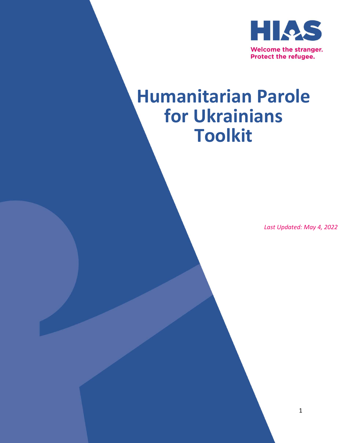

# **Humanitarian Parole for Ukrainians Toolkit**

*Last Updated: May 4, 2022*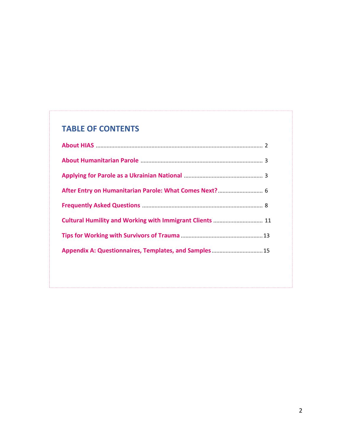# **TABLE OF CONTENTS**

| Appendix A: Questionnaires, Templates, and Samples 15 |  |
|-------------------------------------------------------|--|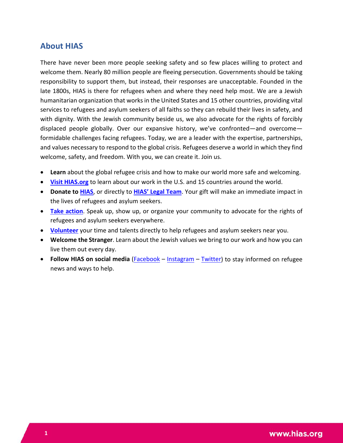## **About HIAS**

There have never been more people seeking safety and so few places willing to protect and welcome them. Nearly 80 million people are fleeing persecution. Governments should be taking responsibility to support them, but instead, their responses are unacceptable. Founded in the late 1800s, HIAS is there for refugees when and where they need help most. We are a Jewish humanitarian organization that works in the United States and 15 other countries, providing vital services to refugees and asylum seekers of all faiths so they can rebuild their lives in safety, and with dignity. With the Jewish community beside us, we also advocate for the rights of forcibly displaced people globally. Over our expansive history, we've confronted—and overcome formidable challenges facing refugees. Today, we are a leader with the expertise, partnerships, and values necessary to respond to the global crisis. Refugees deserve a world in which they find welcome, safety, and freedom. With you, we can create it. Join us.

- **Learn** about the global refugee crisis and how to make our world more safe and welcoming.
- **[Visit HIAS.org](https://www.hias.org/)** to learn about our work in the U.S. and 15 countries around the world.
- **Donate to [HIAS](https://act.hias.org/page/6048/donate/1)**, or directly to **[HIAS' Legal Team](https://www.paypal.com/paypalme/HIASLegal)**. Your gift will make an immediate impact in the lives of refugees and asylum seekers.
- **[Take action](https://www.hias.org/get-involved/take-action)**. Speak up, show up, or organize your community to advocate for the rights of refugees and asylum seekers everywhere.
- **[Volunteer](https://www.hias.org/get-involved/volunteer)** your time and talents directly to help refugees and asylum seekers near you.
- **Welcome the Stranger**. Learn about the Jewish values we bring to our work and how you can live them out every day.
- **Follow HIAS on social media** [\(Facebook](https://www.facebook.com/HIASrefugees) [Instagram](https://www.instagram.com/hiasrefugees/) [Twitter\)](https://twitter.com/HIASrefugees) to stay informed on refugee news and ways to help.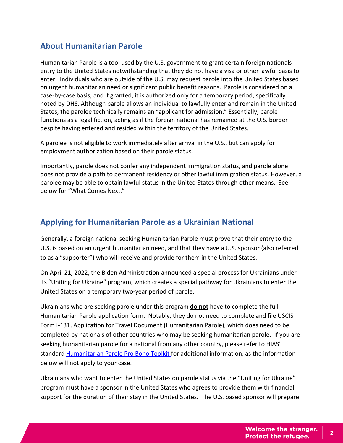# **About Humanitarian Parole**

Humanitarian Parole is a tool used by the U.S. government to grant certain foreign nationals entry to the United States notwithstanding that they do not have a visa or other lawful basis to enter. Individuals who are outside of the U.S. may request parole into the United States based on urgent humanitarian need or significant public benefit reasons. Parole is considered on a case-by-case basis, and if granted, it is authorized only for a temporary period, specifically noted by DHS. Although parole allows an individual to lawfully enter and remain in the United States, the parolee technically remains an "applicant for admission." Essentially, parole functions as a legal fiction, acting as if the foreign national has remained at the U.S. border despite having entered and resided within the territory of the United States.

A parolee is not eligible to work immediately after arrival in the U.S., but can apply for employment authorization based on their parole status.

Importantly, parole does not confer any independent immigration status, and parole alone does not provide a path to permanent residency or other lawful immigration status. However, a parolee may be able to obtain lawful status in the United States through other means. See below for "What Comes Next."

# **Applying for Humanitarian Parole as a Ukrainian National**

Generally, a foreign national seeking Humanitarian Parole must prove that their entry to the U.S. is based on an urgent humanitarian need, and that they have a U.S. sponsor (also referred to as a "supporter") who will receive and provide for them in the United States.

On April 21, 2022, the Biden Administration announced a special process for Ukrainians under its "Uniting for Ukraine" program, which creates a special pathway for Ukrainians to enter the United States on a temporary two-year period of parole.

Ukrainians who are seeking parole under this program **do not** have to complete the full Humanitarian Parole application form. Notably, they do not need to complete and file USCIS Form I-131, Application for Travel Document (Humanitarian Parole), which does need to be completed by nationals of other countries who may be seeking humanitarian parole. If you are seeking humanitarian parole for a national from any other country, please refer to HIAS' standard [Humanitarian Parole Pro Bono Toolkit f](https://hiasny.sharepoint.com/:b:/s/LegalProBonoAttorneySharingProject/ESYNyVfuCztIguREJDr20OEBTKvTcOVbygpSLToMsHzjhA?e=gKzby5)or additional information, as the information below will not apply to your case.

Ukrainians who want to enter the United States on parole status via the "Uniting for Ukraine" program must have a sponsor in the United States who agrees to provide them with financial support for the duration of their stay in the United States. The U.S. based sponsor will prepare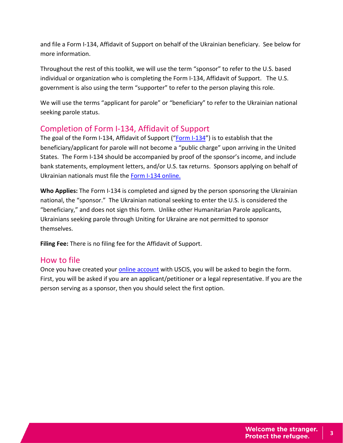and file a Form I-134, Affidavit of Support on behalf of the Ukrainian beneficiary. See below for more information.

Throughout the rest of this toolkit, we will use the term "sponsor" to refer to the U.S. based individual or organization who is completing the Form I-134, Affidavit of Support. The U.S. government is also using the term "supporter" to refer to the person playing this role.

We will use the terms "applicant for parole" or "beneficiary" to refer to the Ukrainian national seeking parole status.

# Completion of Form I-134, Affidavit of Support

The goal of the Form I-134, Affidavit of Support (["Form I-134"](https://www.uscis.gov/sites/default/files/document/forms/i-134.pdf)) is to establish that the beneficiary/applicant for parole will not become a "public charge" upon arriving in the United States. The Form I-134 should be accompanied by proof of the sponsor's income, and include bank statements, employment letters, and/or U.S. tax returns. Sponsors applying on behalf of Ukrainian nationals must file the [Form I-134 online.](https://www.uscis.gov/i-134)

**Who Applies:** The Form I-134 is completed and signed by the person sponsoring the Ukrainian national, the "sponsor." The Ukrainian national seeking to enter the U.S. is considered the "beneficiary," and does not sign this form. Unlike other Humanitarian Parole applicants, Ukrainians seeking parole through Uniting for Ukraine are not permitted to sponsor themselves.

**Filing Fee:** There is no filing fee for the Affidavit of Support.

## How to file

Once you have created your **online account** with USCIS, you will be asked to begin the form. First, you will be asked if you are an applicant/petitioner or a legal representative. If you are the person serving as a sponsor, then you should select the first option.

**3**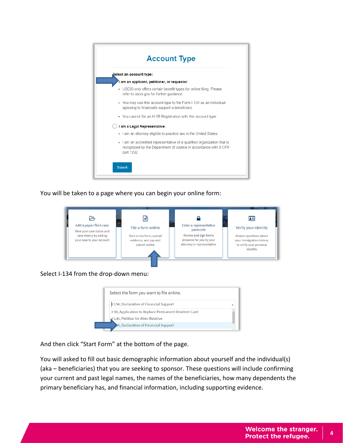

You will be taken to a page where you can begin your online form:



Select I-134 from the drop-down menu:



And then click "Start Form" at the bottom of the page.

You will asked to fill out basic demographic information about yourself and the individual(s) (aka – beneficiaries) that you are seeking to sponsor. These questions will include confirming your current and past legal names, the names of the beneficiaries, how many dependents the primary beneficiary has, and financial information, including supporting evidence.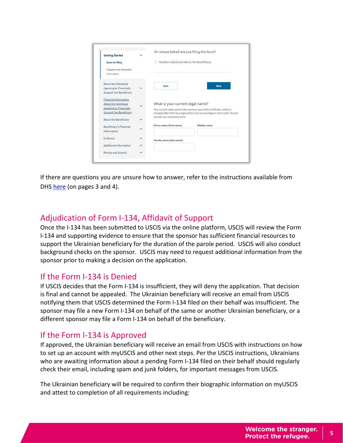| <b>Getting Started</b>                                             |              | On whose behalf are you filing this form? |                                                                               |  |
|--------------------------------------------------------------------|--------------|-------------------------------------------|-------------------------------------------------------------------------------|--|
| <b>Basis for filing</b><br>Preparer and interpreter<br>information |              | Another individual who is the beneficiary |                                                                               |  |
| About the Individual                                               |              |                                           |                                                                               |  |
| <b>Agreeing to Financially</b>                                     | v            | <b>Back</b>                               | <b>Next</b>                                                                   |  |
| Support the Beneficiary                                            |              |                                           |                                                                               |  |
| <b>Financial Information</b>                                       |              |                                           |                                                                               |  |
| About the Individual                                               |              | What is your current legal name?          |                                                                               |  |
| <b>Agreeing to Financially</b>                                     |              |                                           | Your current legal name is the name on your birth certificate, unless it      |  |
| <b>Support the Beneficiary</b>                                     |              |                                           | changed after birth by a legal action such as marriage or court order. Do not |  |
|                                                                    |              | provide any nicknames here.               |                                                                               |  |
| About the Beneficiary                                              |              |                                           |                                                                               |  |
| Beneficiary's Financial                                            |              | Given name (first name)                   | Middle name                                                                   |  |
| Information                                                        |              |                                           |                                                                               |  |
| Evidence                                                           | $\checkmark$ |                                           |                                                                               |  |
|                                                                    |              | Family name (last name)                   |                                                                               |  |
| Additional Information                                             | v            |                                           |                                                                               |  |
|                                                                    |              |                                           |                                                                               |  |

If there are questions you are unsure how to answer, refer to the instructions available from DHS [here](https://www.uscis.gov/sites/default/files/document/forms/i-134instr.pdf) (on pages 3 and 4).

# Adjudication of Form I-134, Affidavit of Support

Once the I-134 has been submitted to USCIS via the online platform, USCIS will review the Form I-134 and supporting evidence to ensure that the sponsor has sufficient financial resources to support the Ukrainian beneficiary for the duration of the parole period. USCIS will also conduct background checks on the sponsor. USCIS may need to request additional information from the sponsor prior to making a decision on the application.

# If the Form I-134 is Denied

If USCIS decides that the Form I-134 is insufficient, they will deny the application. That decision is final and cannot be appealed. The Ukrainian beneficiary will receive an email from USCIS notifying them that USCIS determined the Form I-134 filed on their behalf was insufficient. The sponsor may file a new Form I-134 on behalf of the same or another Ukrainian beneficiary, or a different sponsor may file a Form I-134 on behalf of the beneficiary.

# If the Form I-134 is Approved

If approved, the Ukrainian beneficiary will receive an email from USCIS with instructions on how to set up an account with myUSCIS and other next steps. Per the USCIS instructions, Ukrainians who are awaiting information about a pending Form I-134 filed on their behalf should regularly check their email, including spam and junk folders, for important messages from USCIS.

The Ukrainian beneficiary will be required to confirm their biographic information on myUSCIS and attest to completion of all requirements including: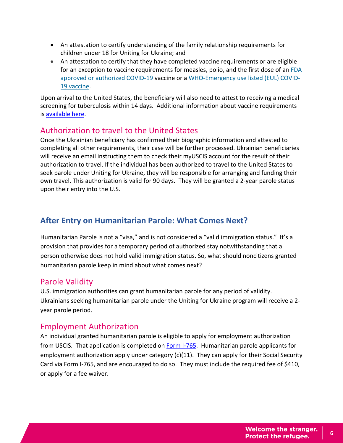- An attestation to certify understanding of the family relationship requirements for children under 18 for Uniting for Ukraine; and
- An attestation to certify that they have completed vaccine requirements or are eligible for an exception to vaccine requirements for measles, polio, and the first dose of an [FDA](https://www.fda.gov/emergency-preparedness-and-response/coronavirus-disease-2019-covid-19/covid-19-vaccines)  [approved or authorized COVID-19](https://www.fda.gov/emergency-preparedness-and-response/coronavirus-disease-2019-covid-19/covid-19-vaccines) vaccine or a [WHO-Emergency use listed \(EUL\)](https://extranet.who.int/pqweb/vaccines/vaccinescovid-19-vaccine-eul-issued) COVID-[19 vaccine.](https://extranet.who.int/pqweb/vaccines/vaccinescovid-19-vaccine-eul-issued)

Upon arrival to the United States, the beneficiary will also need to attest to receiving a medical screening for tuberculosis within 14 days. Additional information about vaccine requirements is [available here.](https://www.uscis.gov/humanitarian/uniting-for-ukraine-vaccine-attestation)

# Authorization to travel to the United States

Once the Ukrainian beneficiary has confirmed their biographic information and attested to completing all other requirements, their case will be further processed. Ukrainian beneficiaries will receive an email instructing them to check their myUSCIS account for the result of their authorization to travel. If the individual has been authorized to travel to the United States to seek parole under Uniting for Ukraine, they will be responsible for arranging and funding their own travel. This authorization is valid for 90 days. They will be granted a 2-year parole status upon their entry into the U.S.

# **After Entry on Humanitarian Parole: What Comes Next?**

Humanitarian Parole is not a "visa," and is not considered a "valid immigration status." It's a provision that provides for a temporary period of authorized stay notwithstanding that a person otherwise does not hold valid immigration status. So, what should noncitizens granted humanitarian parole keep in mind about what comes next?

# Parole Validity

U.S. immigration authorities can grant humanitarian parole for any period of validity. Ukrainians seeking humanitarian parole under the Uniting for Ukraine program will receive a 2 year parole period.

# Employment Authorization

An individual granted humanitarian parole is eligible to apply for employment authorization from USCIS. That application is completed on [Form I-765.](https://www.uscis.gov/i-765) Humanitarian parole applicants for employment authorization apply under category (c)(11). They can apply for their Social Security Card via Form I-765, and are encouraged to do so. They must include the required fee of \$410, or apply for a fee waiver.

**6**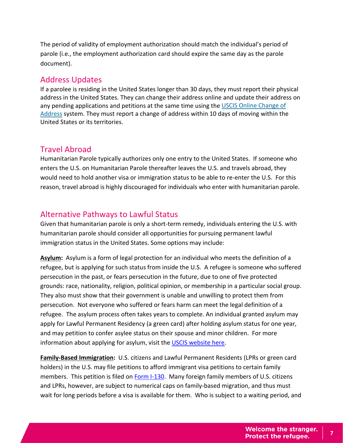The period of validity of employment authorization should match the individual's period of parole (i.e., the employment authorization card should expire the same day as the parole document).

## Address Updates

If a parolee is residing in the United States longer than 30 days, they must report their physical address in the United States. They can change their address online and update their address on any pending applications and petitions at the same time using the [USCIS Online Change of](https://www.uscis.gov/addresschange)  [Address](https://www.uscis.gov/addresschange) system. They must report a change of address within 10 days of moving within the United States or its territories.

## Travel Abroad

Humanitarian Parole typically authorizes only one entry to the United States. If someone who enters the U.S. on Humanitarian Parole thereafter leaves the U.S. and travels abroad, they would need to hold another visa or immigration status to be able to re-enter the U.S. For this reason, travel abroad is highly discouraged for individuals who enter with humanitarian parole.

# Alternative Pathways to Lawful Status

Given that humanitarian parole is only a short-term remedy, individuals entering the U.S. with humanitarian parole should consider all opportunities for pursuing permanent lawful immigration status in the United States. Some options may include:

**Asylum:** Asylum is a form of legal protection for an individual who meets the definition of a refugee, but is applying for such status from inside the U.S. A refugee is someone who suffered persecution in the past, or fears persecution in the future, due to one of five protected grounds: race, nationality, religion, political opinion, or membership in a particular social group. They also must show that their government is unable and unwilling to protect them from persecution. Not everyone who suffered or fears harm can meet the legal definition of a refugee. The asylum process often takes years to complete. An individual granted asylum may apply for Lawful Permanent Residency (a green card) after holding asylum status for one year, and may petition to confer asylee status on their spouse and minor children. For more information about applying for asylum, visit the [USCIS website here.](https://www.uscis.gov/humanitarian/refugees-and-asylum/asylum)

**Family-Based Immigration:** U.S. citizens and Lawful Permanent Residents (LPRs or green card holders) in the U.S. may file petitions to afford immigrant visa petitions to certain family members. This petition is filed on [Form I-130.](https://www.uscis.gov/i-130) Many foreign family members of U.S. citizens and LPRs, however, are subject to numerical caps on family-based migration, and thus must wait for long periods before a visa is available for them. Who is subject to a waiting period, and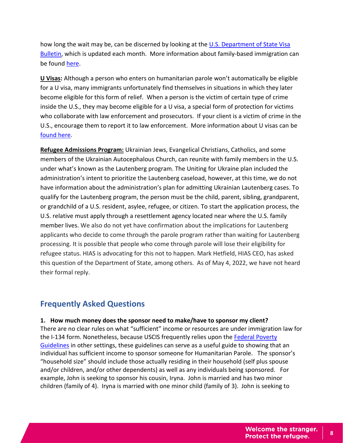how long the wait may be, can be discerned by looking at the [U.S. Department of State Visa](https://travel.state.gov/content/travel/en/legal/visa-law0/visa-bulletin.html)  [Bulletin,](https://travel.state.gov/content/travel/en/legal/visa-law0/visa-bulletin.html) which is updated each month. More information about family-based immigration can be found [here.](https://travel.state.gov/content/travel/en/us-visas/immigrate/family-immigration.html)

**U Visas:** Although a person who enters on humanitarian parole won't automatically be eligible for a U visa, many immigrants unfortunately find themselves in situations in which they later become eligible for this form of relief. When a person is the victim of certain type of crime inside the U.S., they may become eligible for a U visa, a special form of protection for victims who collaborate with law enforcement and prosecutors. If your client is a victim of crime in the U.S., encourage them to report it to law enforcement. More information about U visas can be [found here.](https://www.uscis.gov/humanitarian/victims-of-human-trafficking-and-other-crimes/victims-of-criminal-activity-u-nonimmigrant-status)

**Refugee Admissions Program:** Ukrainian Jews, Evangelical Christians, Catholics, and some members of the Ukrainian Autocephalous Church, can reunite with family members in the U.S. under what's known as the Lautenberg program. The Uniting for Ukraine plan included the administration's intent to prioritize the Lautenberg caseload, however, at this time, we do not have information about the administration's plan for admitting Ukrainian Lautenberg cases. To qualify for the Lautenberg program, the person must be the child, parent, sibling, grandparent, or grandchild of a U.S. resident, asylee, refugee, or citizen. To start the application process, the U.S. relative must apply through a resettlement agency located near where the U.S. family member lives. We also do not yet have confirmation about the implications for Lautenberg applicants who decide to come through the parole program rather than waiting for Lautenberg processing. It is possible that people who come through parole will lose their eligibility for refugee status. HIAS is advocating for this not to happen. Mark Hetfield, HIAS CEO, has asked this question of the Department of State, among others. As of May 4, 2022, we have not heard their formal reply.

# **Frequently Asked Questions**

#### **1. How much money does the sponsor need to make/have to sponsor my client?**

There are no clear rules on what "sufficient" income or resources are under immigration law for the I-134 form. Nonetheless, because USCIS frequently relies upon the [Federal Poverty](https://www.uscis.gov/i-864p)  [Guidelines](https://www.uscis.gov/i-864p) in other settings, these guidelines can serve as a useful guide to showing that an individual has sufficient income to sponsor someone for Humanitarian Parole. The sponsor's "household size" should include those actually residing in their household (self plus spouse and/or children, and/or other dependents) as well as any individuals being sponsored. For example, John is seeking to sponsor his cousin, Iryna. John is married and has two minor children (family of 4). Iryna is married with one minor child (family of 3). John is seeking to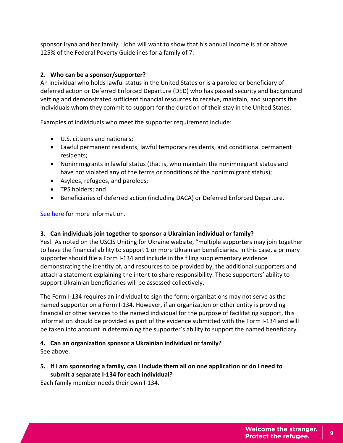sponsor Iryna and her family. John will want to show that his annual income is at or above 125% of the Federal Poverty Guidelines for a family of 7.

## **2. Who can be a sponsor/supporter?**

An individual who holds lawful status in the United States or is a parolee or beneficiary of deferred action or Deferred Enforced Departure (DED) who has passed security and background vetting and demonstrated sufficient financial resources to receive, maintain, and supports the individuals whom they commit to support for the duration of their stay in the United States.

Examples of individuals who meet the supporter requirement include:

- U.S. citizens and nationals;
- Lawful permanent residents, lawful temporary residents, and conditional permanent residents;
- Nonimmigrants in lawful status (that is, who maintain the nonimmigrant status and have not violated any of the terms or conditions of the nonimmigrant status);
- Asylees, refugees, and parolees;
- TPS holders; and
- Beneficiaries of deferred action (including DACA) or Deferred Enforced Departure.

[See here](https://www.uscis.gov/humanitarian/uniting-for-ukraine-vaccine-attestation) for more information.

#### **3. Can individuals join together to sponsor a Ukrainian individual or family?**

Yes! As noted on the USCIS Uniting for Ukraine website, "multiple supporters may join together to have the financial ability to support 1 or more Ukrainian beneficiaries. In this case, a primary supporter should file a Form I-134 and include in the filing supplementary evidence demonstrating the identity of, and resources to be provided by, the additional supporters and attach a statement explaining the intent to share responsibility. These supporters' ability to support Ukrainian beneficiaries will be assessed collectively.

The Form I-134 requires an individual to sign the form; organizations may not serve as the named supporter on a Form I-134. However, if an organization or other entity is providing financial or other services to the named individual for the purpose of facilitating support, this information should be provided as part of the evidence submitted with the Form I-134 and will be taken into account in determining the supporter's ability to support the named beneficiary.

## **4. Can an organization sponsor a Ukrainian individual or family?**

See above.

**5. If I am sponsoring a family, can I include them all on one application or do I need to submit a separate I-134 for each individual?**

Each family member needs their own I-134.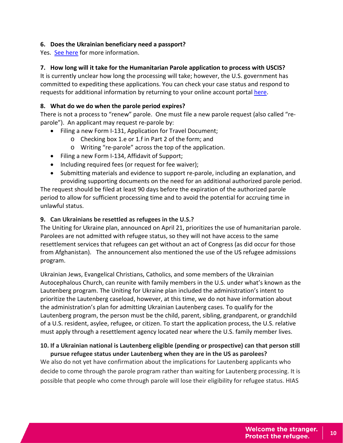#### **6. Does the Ukrainian beneficiary need a passport?**

Yes. [See here](https://www.uscis.gov/humanitarian/uniting-for-ukraine-vaccine-attestation) for more information.

#### **7. How long will it take for the Humanitarian Parole application to process with USCIS?**

It is currently unclear how long the processing will take; however, the U.S. government has committed to expediting these applications. You can check your case status and respond to requests for additional information by returning to your online account portal [here.](https://my.uscis.gov/account/onboarding)

#### **8. What do we do when the parole period expires?**

There is not a process to "renew" parole. One must file a new parole request (also called "reparole"). An applicant may request re-parole by:

- Filing a new Form I-131, Application for Travel Document;
	- o Checking box 1.e or 1.f in Part 2 of the form; and
	- o Writing "re-parole" across the top of the application.
- Filing a new Form I-134, Affidavit of Support;
- Including required fees (or request for fee waiver);
- Submitting materials and evidence to support re-parole, including an explanation, and providing supporting documents on the need for an additional authorized parole period.

The request should be filed at least 90 days before the expiration of the authorized parole period to allow for sufficient processing time and to avoid the potential for accruing time in unlawful status.

#### **9. Can Ukrainians be resettled as refugees in the U.S.?**

The Uniting for Ukraine plan, announced on April 21, prioritizes the use of humanitarian parole. Parolees are not admitted with refugee status, so they will not have access to the same resettlement services that refugees can get without an act of Congress (as did occur for those from Afghanistan). The announcement also mentioned the use of the US refugee admissions program.

Ukrainian Jews, Evangelical Christians, Catholics, and some members of the Ukrainian Autocephalous Church, can reunite with family members in the U.S. under what's known as the Lautenberg program. The Uniting for Ukraine plan included the administration's intent to prioritize the Lautenberg caseload, however, at this time, we do not have information about the administration's plan for admitting Ukrainian Lautenberg cases. To qualify for the Lautenberg program, the person must be the child, parent, sibling, grandparent, or grandchild of a U.S. resident, asylee, refugee, or citizen. To start the application process, the U.S. relative must apply through a resettlement agency located near where the U.S. family member lives.

#### **10. If a Ukrainian national is Lautenberg eligible (pending or prospective) can that person still pursue refugee status under Lautenberg when they are in the US as parolees?**

We also do not yet have confirmation about the implications for Lautenberg applicants who decide to come through the parole program rather than waiting for Lautenberg processing. It is possible that people who come through parole will lose their eligibility for refugee status. HIAS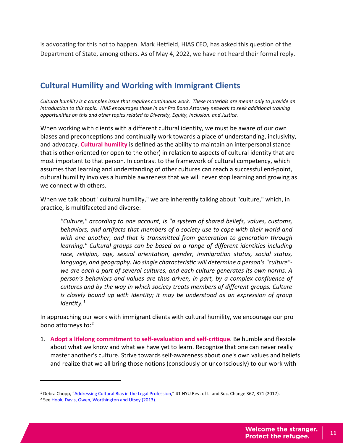is advocating for this not to happen. Mark Hetfield, HIAS CEO, has asked this question of the Department of State, among others. As of May 4, 2022, we have not heard their formal reply.

# **Cultural Humility and Working with Immigrant Clients**

*Cultural humility is a complex issue that requires continuous work. These materials are meant only to provide an introduction to this topic. HIAS encourages those in our Pro Bono Attorney network to seek additional training opportunities on this and other topics related to Diversity, Equity, Inclusion, and Justice.*

When working with clients with a different cultural identity, we must be aware of our own biases and preconceptions and continually work towards a place of understanding, inclusivity, and advocacy. **Cultural humility** is defined as the ability to maintain an interpersonal stance that is other-oriented (or open to the other) in relation to aspects of cultural identity that are most important to that person. In contrast to the framework of cultural competency, which assumes that learning and understanding of other cultures can reach a successful end-point, cultural humility involves a humble awareness that we will never stop learning and growing as we connect with others.

When we talk about "cultural humility," we are inherently talking about "culture," which, in practice, is multifaceted and diverse:

*"Culture," according to one account, is "a system of shared beliefs, values, customs, behaviors, and artifacts that members of a society use to cope with their world and with one another, and that is transmitted from generation to generation through learning." Cultural groups can be based on a range of different identities including race, religion, age, sexual orientation, gender, immigration status, social status, language, and geography. No single characteristic will determine a person's "culture" we are each a part of several cultures, and each culture generates its own norms. A person's behaviors and values are thus driven, in part, by a complex confluence of cultures and by the way in which society treats members of different groups. Culture is closely bound up with identity; it may be understood as an expression of group identity.[1](#page-12-0)*

In approaching our work with immigrant clients with cultural humility, we encourage our pro bono attorneys to:<sup>2</sup>

1. **Adopt a lifelong commitment to self-evaluation and self-critique**. Be humble and flexible about what we know and what we have yet to learn. Recognize that one can never really master another's culture. Strive towards self-awareness about one's own values and beliefs and realize that we all bring those notions (consciously or unconsciously) to our work with

 $\overline{a}$ 

<span id="page-12-0"></span><sup>1</sup> Debra Chopp, ["Addressing Cultural Bias in the Legal Profession,"](https://repository.law.umich.edu/cgi/viewcontent.cgi?article=2874&context=articles) 41 NYU Rev. of L. and Soc. Change 367, 371 (2017).

<span id="page-12-1"></span><sup>&</sup>lt;sup>2</sup> Se[e Hook, Davis, Owen, Worthington and Utsey \(2013\).](https://pubmed.ncbi.nlm.nih.gov/23647387/)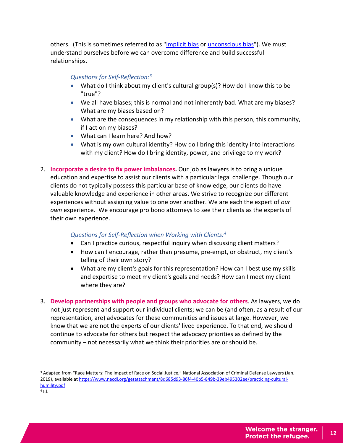others. (This is sometimes referred to as ["implicit bias](https://ipo.org/wp-content/uploads/2017/11/Implicit-Bias-White-Paper-2.pdf) o[r unconscious bias"](https://www.catalyst.org/2020/01/02/interrupt-unconscious-bias/)). We must understand ourselves before we can overcome difference and build successful relationships.

### *Questions for Self-Reflection:[3](#page-13-0)*

- What do I think about my client's cultural group(s)? How do I know this to be "true"?
- We all have biases; this is normal and not inherently bad. What are my biases? What are my biases based on?
- What are the consequences in my relationship with this person, this community, if I act on my biases?
- What can I learn here? And how?
- What is my own cultural identity? How do I bring this identity into interactions with my client? How do I bring identity, power, and privilege to my work?
- 2. **Incorporate a desire to fix power imbalances.** Our job as lawyers is to bring a unique education and expertise to assist our clients with a particular legal challenge. Though our clients do not typically possess this particular base of knowledge, our clients do have valuable knowledge and experience in other areas. We strive to recognize our different experiences without assigning value to one over another. We are each the expert of *our own* experience. We encourage pro bono attorneys to see their clients as the experts of their own experience.

#### *Questions for Self-Reflection when Working with Clients: [4](#page-13-1)*

- Can I practice curious, respectful inquiry when discussing client matters?
- How can I encourage, rather than presume, pre-empt, or obstruct, my client's telling of their own story?
- What are my client's goals for this representation? How can I best use my skills and expertise to meet my client's goals and needs? How can I meet my client where they are?
- 3. **Develop partnerships with people and groups who advocate for others**. As lawyers, we do not just represent and support our individual clients; we can be (and often, as a result of our representation, are) advocates for these communities and issues at large. However, we know that we are not the experts of our clients' lived experience. To that end, we should continue to advocate for others but respect the advocacy priorities as defined by the community – not necessarily what we think their priorities are or should be.

 $\overline{a}$ 

<span id="page-13-1"></span><span id="page-13-0"></span><sup>3</sup> Adapted from "Race Matters: The Impact of Race on Social Justice," National Association of Criminal Defense Lawyers (Jan. 2019), available at [https://www.nacdl.org/getattachment/8d685d93-86f4-40b5-849b-39eb495302ee/practicing-cultural](https://www.nacdl.org/getattachment/8d685d93-86f4-40b5-849b-39eb495302ee/practicing-cultural-humility.pdf)[humility.pdf](https://www.nacdl.org/getattachment/8d685d93-86f4-40b5-849b-39eb495302ee/practicing-cultural-humility.pdf)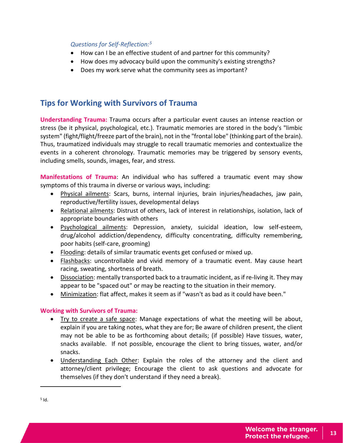#### *Questions for Self-Reflection:[5](#page-14-0)*

- How can I be an effective student of and partner for this community?
- How does my advocacy build upon the community's existing strengths?
- Does my work serve what the community sees as important?

# **Tips for Working with Survivors of Trauma**

**Understanding Trauma:** Trauma occurs after a particular event causes an intense reaction or stress (be it physical, psychological, etc.). Traumatic memories are stored in the body's "limbic system" (fight/flight/freeze part of the brain), not in the "frontal lobe" (thinking part of the brain). Thus, traumatized individuals may struggle to recall traumatic memories and contextualize the events in a coherent chronology. Traumatic memories may be triggered by sensory events, including smells, sounds, images, fear, and stress.

**Manifestations of Trauma**: An individual who has suffered a traumatic event may show symptoms of this trauma in diverse or various ways, including:

- Physical ailments: Scars, burns, internal injuries, brain injuries/headaches, jaw pain, reproductive/fertility issues, developmental delays
- Relational ailments: Distrust of others, lack of interest in relationships, isolation, lack of appropriate boundaries with others
- Psychological ailments: Depression, anxiety, suicidal ideation, low self-esteem, drug/alcohol addiction/dependency, difficulty concentrating, difficulty remembering, poor habits (self-care, grooming)
- Flooding: details of similar traumatic events get confused or mixed up.
- Flashbacks: uncontrollable and vivid memory of a traumatic event. May cause heart racing, sweating, shortness of breath.
- Dissociation: mentally transported back to a traumatic incident, as if re-living it. They may appear to be "spaced out" or may be reacting to the situation in their memory.
- Minimization: flat affect, makes it seem as if "wasn't as bad as it could have been."

#### **Working with Survivors of Trauma:**

- Try to create a safe space: Manage expectations of what the meeting will be about, explain if you are taking notes, what they are for; Be aware of children present, the client may not be able to be as forthcoming about details; (if possible) Have tissues, water, snacks available. If not possible, encourage the client to bring tissues, water, and/or snacks.
- Understanding Each Other: Explain the roles of the attorney and the client and attorney/client privilege; Encourage the client to ask questions and advocate for themselves (if they don't understand if they need a break).

**13**

<span id="page-14-0"></span> $\overline{a}$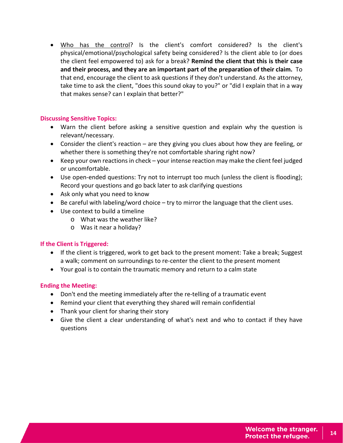• Who has the control? Is the client's comfort considered? Is the client's physical/emotional/psychological safety being considered? Is the client able to (or does the client feel empowered to) ask for a break? **Remind the client that this is their case and their process, and they are an important part of the preparation of their claim.** To that end, encourage the client to ask questions if they don't understand. As the attorney, take time to ask the client, "does this sound okay to you?" or "did I explain that in a way that makes sense? can I explain that better?"

#### **Discussing Sensitive Topics:**

- Warn the client before asking a sensitive question and explain why the question is relevant/necessary.
- Consider the client's reaction are they giving you clues about how they are feeling, or whether there is something they're not comfortable sharing right now?
- Keep your own reactions in check your intense reaction may make the client feel judged or uncomfortable.
- Use open-ended questions: Try not to interrupt too much (unless the client is flooding); Record your questions and go back later to ask clarifying questions
- Ask only what you need to know
- Be careful with labeling/word choice try to mirror the language that the client uses.
- Use context to build a timeline
	- o What was the weather like?
		- o Was it near a holiday?

#### **If the Client is Triggered:**

- If the client is triggered, work to get back to the present moment: Take a break; Suggest a walk; comment on surroundings to re-center the client to the present moment
- Your goal is to contain the traumatic memory and return to a calm state

#### **Ending the Meeting:**

- Don't end the meeting immediately after the re-telling of a traumatic event
- Remind your client that everything they shared will remain confidential
- Thank your client for sharing their story
- Give the client a clear understanding of what's next and who to contact if they have questions